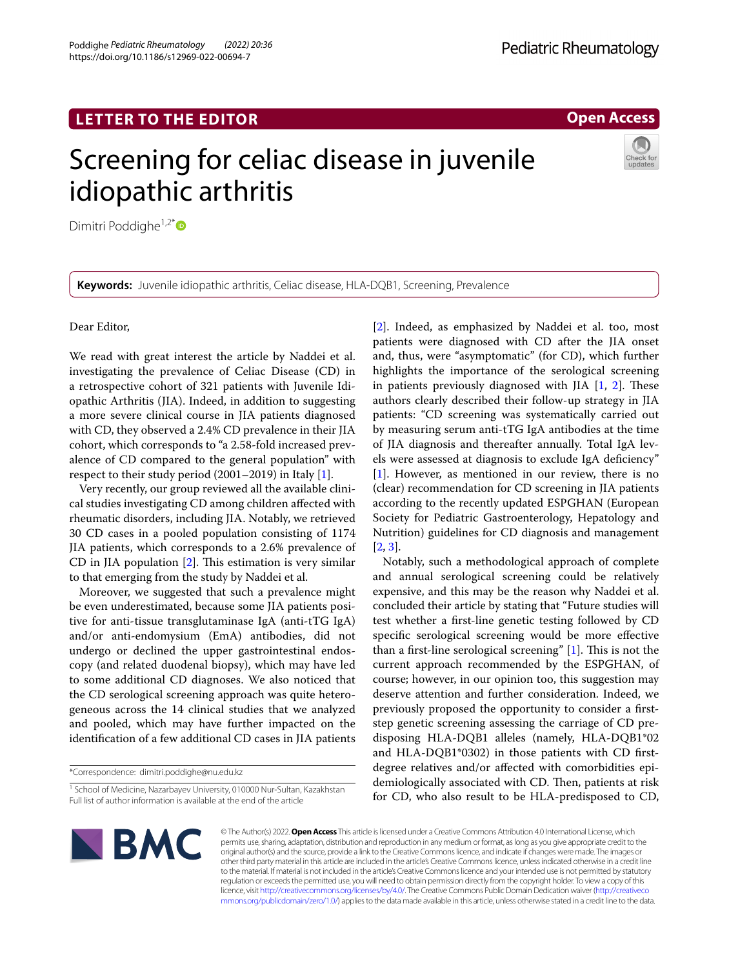Poddighe *Pediatric Rheumatology (2022) 20:36*  https://doi.org/10.1186/s12969-022-00694-7

**Open Access**

# Screening for celiac disease in juvenile idiopathic arthritis

Dimitri Poddighe<sup>1,2\*</sup>

**Keywords:** Juvenile idiopathic arthritis, Celiac disease, HLA-DQB1, Screening, Prevalence

Dear Editor,

We read with great interest the article by Naddei et al. investigating the prevalence of Celiac Disease (CD) in a retrospective cohort of 321 patients with Juvenile Idiopathic Arthritis (JIA). Indeed, in addition to suggesting a more severe clinical course in JIA patients diagnosed with CD, they observed a 2.4% CD prevalence in their JIA cohort, which corresponds to "a 2.58-fold increased prevalence of CD compared to the general population" with respect to their study period (2001–2019) in Italy [\[1](#page-1-0)].

Very recently, our group reviewed all the available clinical studies investigating CD among children afected with rheumatic disorders, including JIA. Notably, we retrieved 30 CD cases in a pooled population consisting of 1174 JIA patients, which corresponds to a 2.6% prevalence of CD in JIA population  $[2]$  $[2]$ . This estimation is very similar to that emerging from the study by Naddei et al.

Moreover, we suggested that such a prevalence might be even underestimated, because some JIA patients positive for anti-tissue transglutaminase IgA (anti-tTG IgA) and/or anti-endomysium (EmA) antibodies, did not undergo or declined the upper gastrointestinal endoscopy (and related duodenal biopsy), which may have led to some additional CD diagnoses. We also noticed that the CD serological screening approach was quite heterogeneous across the 14 clinical studies that we analyzed and pooled, which may have further impacted on the identifcation of a few additional CD cases in JIA patients

\*Correspondence: dimitri.poddighe@nu.edu.kz

[[2\]](#page-1-1). Indeed, as emphasized by Naddei et al. too, most patients were diagnosed with CD after the JIA onset and, thus, were "asymptomatic" (for CD), which further highlights the importance of the serological screening in patients previously diagnosed with JIA  $[1, 2]$  $[1, 2]$  $[1, 2]$  $[1, 2]$ . These authors clearly described their follow-up strategy in JIA patients: "CD screening was systematically carried out by measuring serum anti-tTG IgA antibodies at the time of JIA diagnosis and thereafter annually. Total IgA levels were assessed at diagnosis to exclude IgA defciency" [[1\]](#page-1-0). However, as mentioned in our review, there is no (clear) recommendation for CD screening in JIA patients according to the recently updated ESPGHAN (European Society for Pediatric Gastroenterology, Hepatology and Nutrition) guidelines for CD diagnosis and management [[2,](#page-1-1) [3](#page-1-2)].

Notably, such a methodological approach of complete and annual serological screening could be relatively expensive, and this may be the reason why Naddei et al. concluded their article by stating that "Future studies will test whether a frst-line genetic testing followed by CD specifc serological screening would be more efective than a first-line serological screening"  $[1]$  $[1]$ . This is not the current approach recommended by the ESPGHAN, of course; however, in our opinion too, this suggestion may deserve attention and further consideration. Indeed, we previously proposed the opportunity to consider a frststep genetic screening assessing the carriage of CD predisposing HLA-DQB1 alleles (namely, HLA-DQB1\*02 and HLA-DQB1\*0302) in those patients with CD frstdegree relatives and/or afected with comorbidities epidemiologically associated with CD. Then, patients at risk for CD, who also result to be HLA-predisposed to CD,



© The Author(s) 2022. **Open Access** This article is licensed under a Creative Commons Attribution 4.0 International License, which permits use, sharing, adaptation, distribution and reproduction in any medium or format, as long as you give appropriate credit to the original author(s) and the source, provide a link to the Creative Commons licence, and indicate if changes were made. The images or other third party material in this article are included in the article's Creative Commons licence, unless indicated otherwise in a credit line to the material. If material is not included in the article's Creative Commons licence and your intended use is not permitted by statutory regulation or exceeds the permitted use, you will need to obtain permission directly from the copyright holder. To view a copy of this licence, visit [http://creativecommons.org/licenses/by/4.0/.](http://creativecommons.org/licenses/by/4.0/) The Creative Commons Public Domain Dedication waiver ([http://creativeco](http://creativecommons.org/publicdomain/zero/1.0/) [mmons.org/publicdomain/zero/1.0/](http://creativecommons.org/publicdomain/zero/1.0/)) applies to the data made available in this article, unless otherwise stated in a credit line to the data.

<sup>&</sup>lt;sup>1</sup> School of Medicine, Nazarbayev University, 010000 Nur-Sultan, Kazakhstan Full list of author information is available at the end of the article